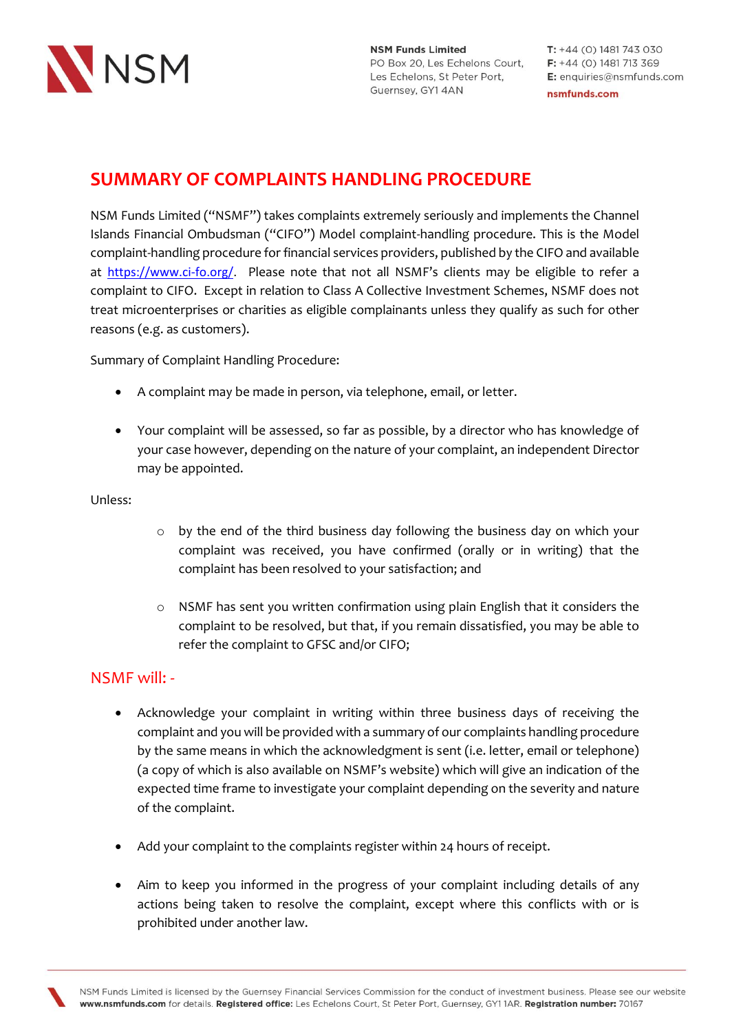

**NSM Funds Limited** PO Box 20, Les Echelons Court. Les Echelons, St Peter Port, Guernsey, GY1 4AN

 $T: +44(0)1481743030$  $F: +44(0)$  1481 713 369 E: enquiries@nsmfunds.com nsmfunds.com

## **SUMMARY OF COMPLAINTS HANDLING PROCEDURE**

NSM Funds Limited ("NSMF") takes complaints extremely seriously and implements the Channel Islands Financial Ombudsman ("CIFO") Model complaint-handling procedure. This is the Model complaint-handling procedure for financial services providers, published by the CIFO and available at [https://www.ci-fo.org/.](https://www.ci-fo.org/) Please note that not all NSMF's clients may be eligible to refer a complaint to CIFO. Except in relation to Class A Collective Investment Schemes, NSMF does not treat microenterprises or charities as eligible complainants unless they qualify as such for other reasons (e.g. as customers).

Summary of Complaint Handling Procedure:

- A complaint may be made in person, via telephone, email, or letter.
- Your complaint will be assessed, so far as possible, by a director who has knowledge of your case however, depending on the nature of your complaint, an independent Director may be appointed.

## Unless:

- o by the end of the third business day following the business day on which your complaint was received, you have confirmed (orally or in writing) that the complaint has been resolved to your satisfaction; and
- o NSMF has sent you written confirmation using plain English that it considers the complaint to be resolved, but that, if you remain dissatisfied, you may be able to refer the complaint to GFSC and/or CIFO;

## NSMF will: -

- Acknowledge your complaint in writing within three business days of receiving the complaint and you will be provided with a summary of our complaints handling procedure by the same means in which the acknowledgment is sent (i.e. letter, email or telephone) (a copy of which is also available on NSMF's website) which will give an indication of the expected time frame to investigate your complaint depending on the severity and nature of the complaint.
- Add your complaint to the complaints register within 24 hours of receipt.
- Aim to keep you informed in the progress of your complaint including details of any actions being taken to resolve the complaint, except where this conflicts with or is prohibited under another law.

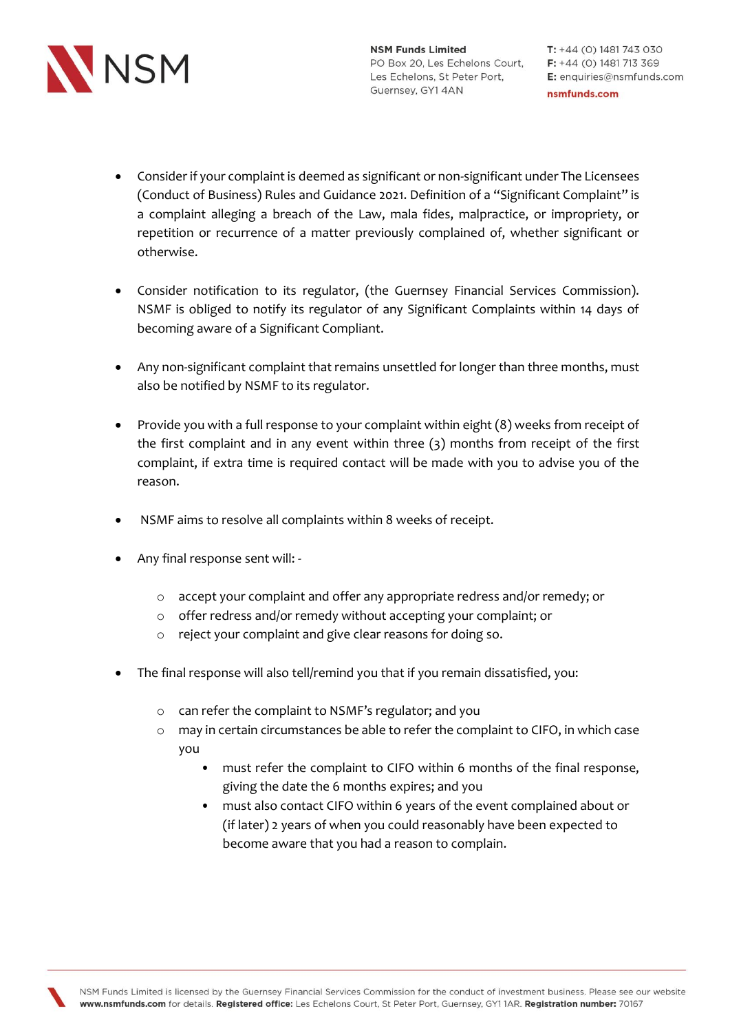

- Consider if your complaint is deemed as significant or non-significant under The Licensees (Conduct of Business) Rules and Guidance 2021. Definition of a "Significant Complaint" is a complaint alleging a breach of the Law, mala fides, malpractice, or impropriety, or repetition or recurrence of a matter previously complained of, whether significant or otherwise.
- Consider notification to its regulator, (the Guernsey Financial Services Commission). NSMF is obliged to notify its regulator of any Significant Complaints within 14 days of becoming aware of a Significant Compliant.
- Any non-significant complaint that remains unsettled for longer than three months, must also be notified by NSMF to its regulator.
- Provide you with a full response to your complaint within eight (8) weeks from receipt of the first complaint and in any event within three  $(3)$  months from receipt of the first complaint, if extra time is required contact will be made with you to advise you of the reason.
- NSMF aims to resolve all complaints within 8 weeks of receipt.
- Any final response sent will:
	- o accept your complaint and offer any appropriate redress and/or remedy; or
	- o offer redress and/or remedy without accepting your complaint; or
	- o reject your complaint and give clear reasons for doing so.
- The final response will also tell/remind you that if you remain dissatisfied, you:
	- o can refer the complaint to NSMF's regulator; and you
	- o may in certain circumstances be able to refer the complaint to CIFO, in which case you
		- must refer the complaint to CIFO within 6 months of the final response, giving the date the 6 months expires; and you
			- must also contact CIFO within 6 years of the event complained about or (if later) 2 years of when you could reasonably have been expected to become aware that you had a reason to complain.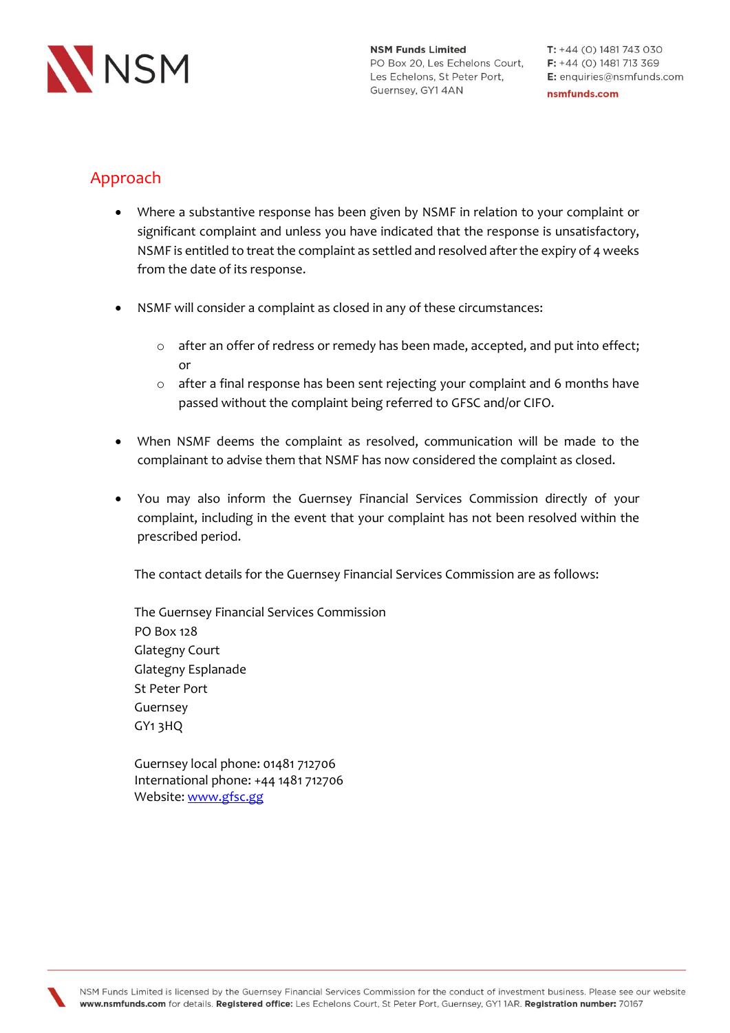

**NSM Funds Limited** PO Box 20, Les Echelons Court. Les Echelons, St Peter Port, Guernsey, GY1 4AN

 $T: +44(0)$  1481 743 030  $F: +44(0)$  1481 713 369 E: enquiries@nsmfunds.com nsmfunds.com

## Approach

- Where a substantive response has been given by NSMF in relation to your complaint or significant complaint and unless you have indicated that the response is unsatisfactory, NSMF is entitled to treat the complaint as settled and resolved after the expiry of 4 weeks from the date of its response.
- NSMF will consider a complaint as closed in any of these circumstances:
	- o after an offer of redress or remedy has been made, accepted, and put into effect; or
	- o after a final response has been sent rejecting your complaint and 6 months have passed without the complaint being referred to GFSC and/or CIFO.
- When NSMF deems the complaint as resolved, communication will be made to the complainant to advise them that NSMF has now considered the complaint as closed.
- You may also inform the Guernsey Financial Services Commission directly of your complaint, including in the event that your complaint has not been resolved within the prescribed period.

The contact details for the Guernsey Financial Services Commission are as follows:

The Guernsey Financial Services Commission PO Box 128 Glategny Court Glategny Esplanade St Peter Port Guernsey GY1 3HQ

Guernsey local phone: 01481 712706 International phone: +44 1481 712706 Website: [www.gfsc.gg](http://www.gfsc.gg/)

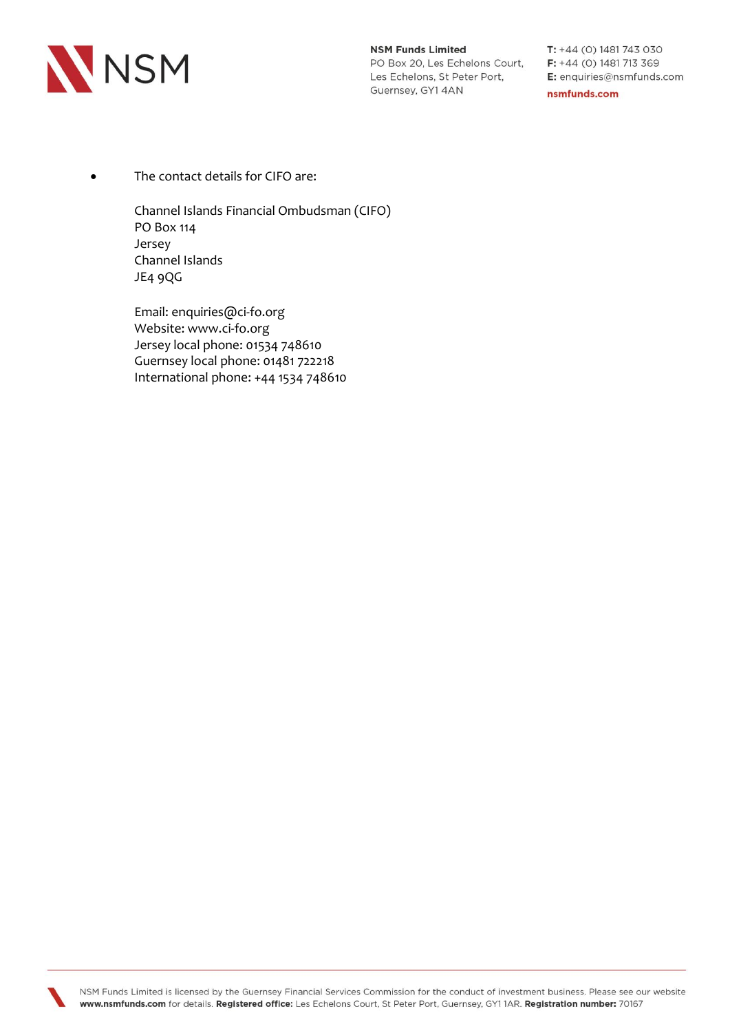

**NSM Funds Limited** PO Box 20, Les Echelons Court, Les Echelons, St Peter Port, Guernsey, GY1 4AN

 $T: +44(0)$  1481 743 030 F: +44 (0) 1481 713 369 E: enquiries@nsmfunds.com

nsmfunds.com

The contact details for CIFO are:

Channel Islands Financial Ombudsman (CIFO) PO Box 114 Jersey Channel Islands JE4 9QG

Email: [enquiries@ci-fo.org](mailto:enquiries@ci-fo.org) Website: [www.ci-fo.org](http://www.ci-fo.org/) Jersey local phone: 01534 748610 Guernsey local phone: 01481 722218 International phone: +44 1534 748610